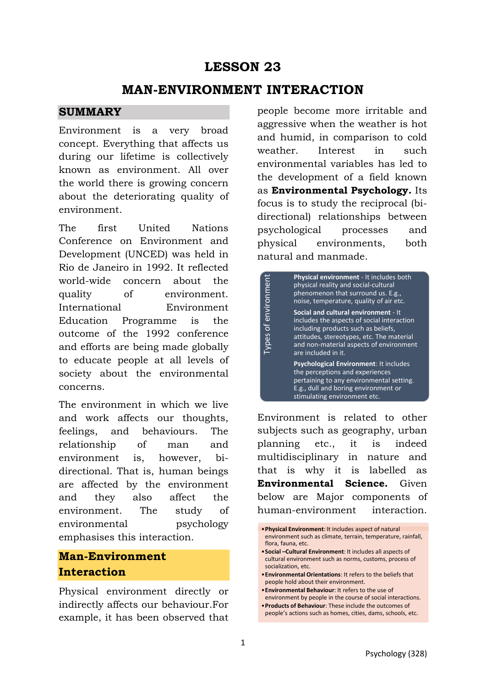## **LESSON 23**

### **MAN-ENVIRONMENT INTERACTION**

#### **SUMMARY**

Environment is a very broad concept. Everything that affects us during our lifetime is collectively known as environment. All over the world there is growing concern about the deteriorating quality of environment.

The first United Nations Conference on Environment and Development (UNCED) was held in Rio de Janeiro in 1992. It reflected world-wide concern about the quality of environment. International Environment Education Programme is the outcome of the 1992 conference and efforts are being made globally to educate people at all levels of society about the environmental concerns.

The environment in which we live and work affects our thoughts, feelings, and behaviours. The relationship of man and environment is, however, bidirectional. That is, human beings are affected by the environment and they also affect the environment. The study of environmental psychology emphasises this interaction.

### **Man-Environment Interaction**

Physical environment directly or indirectly affects our behaviour.For example, it has been observed that people become more irritable and aggressive when the weather is hot and humid, in comparison to cold weather. Interest in such environmental variables has led to the development of a field known as **Environmental Psychology.** Its focus is to study the reciprocal (bidirectional) relationships between psychological processes and physical environments, both natural and manmade.

|                                                                      | Physical environment - It includes both<br>physical reality and social-cultural<br>phenomenon that surround us. E.g.,<br>noise, temperature, quality of air etc.                                                                         |  |  |  |              |  |  |
|----------------------------------------------------------------------|------------------------------------------------------------------------------------------------------------------------------------------------------------------------------------------------------------------------------------------|--|--|--|--------------|--|--|
| Types of environment                                                 | Social and cultural environment - It<br>includes the aspects of social interaction<br>including products such as beliefs,<br>attitudes, stereotypes, etc. The material<br>and non-material aspects of environment<br>are included in it. |  |  |  |              |  |  |
|                                                                      | <b>Psychological Environment: It includes</b><br>the perceptions and experiences<br>pertaining to any environmental setting.<br>E.g., dull and boring environment or<br>stimulating environment etc.                                     |  |  |  |              |  |  |
|                                                                      |                                                                                                                                                                                                                                          |  |  |  |              |  |  |
| Environment is related to other<br>subjects such as geography, urban |                                                                                                                                                                                                                                          |  |  |  |              |  |  |
|                                                                      |                                                                                                                                                                                                                                          |  |  |  |              |  |  |
| planning etc., it is indeed                                          |                                                                                                                                                                                                                                          |  |  |  |              |  |  |
| multidisciplinary in nature and                                      |                                                                                                                                                                                                                                          |  |  |  |              |  |  |
| that is why it is labelled as                                        |                                                                                                                                                                                                                                          |  |  |  |              |  |  |
| Environmental Science. Given                                         |                                                                                                                                                                                                                                          |  |  |  |              |  |  |
| below are Major components of                                        |                                                                                                                                                                                                                                          |  |  |  |              |  |  |
| human-environment                                                    |                                                                                                                                                                                                                                          |  |  |  | interaction. |  |  |

•**Environmental Orientations**: It refers to the beliefs that people hold about their environment.

•**Products of Behaviour**: These include the outcomes of people's actions such as homes, cities, dams, schools, etc.

<sup>•</sup>**Physical Environment**: It includes aspect of natural environment such as climate, terrain, temperature, rainfall, flora, fauna, etc.

<sup>•</sup>**Social –Cultural Environment**: It includes all aspects of cultural environment such as norms, customs, process of socialization, etc.

<sup>•</sup>**Environmental Behaviour**: It refers to the use of environment by people in the course of social interactions.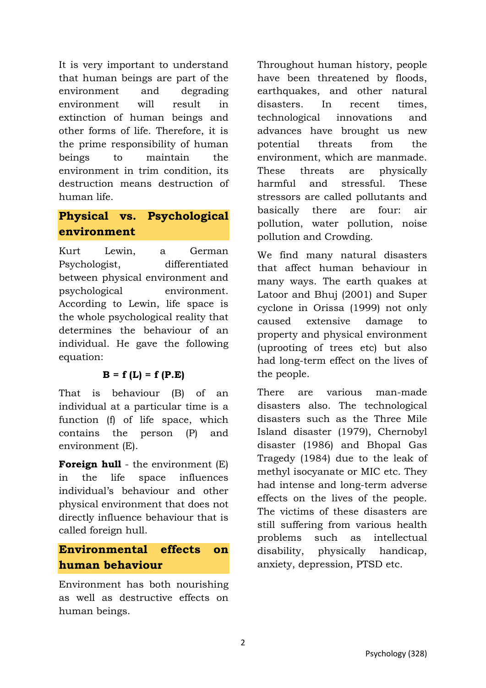It is very important to understand that human beings are part of the environment and degrading environment will result in extinction of human beings and other forms of life. Therefore, it is the prime responsibility of human beings to maintain the environment in trim condition, its destruction means destruction of human life.

# **Physical vs. Psychological environment**

Kurt Lewin, a German Psychologist, differentiated between physical environment and psychological environment. According to Lewin, life space is the whole psychological reality that determines the behaviour of an individual. He gave the following equation:

#### **B = f (L) = f (P.E)**

That is behaviour (B) of an individual at a particular time is a function (f) of life space, which contains the person (P) and environment (E).

**Foreign hull** - the environment (E) in the life space influences individual's behaviour and other physical environment that does not directly influence behaviour that is called foreign hull.

## **Environmental effects on human behaviour**

Environment has both nourishing as well as destructive effects on human beings.

Throughout human history, people have been threatened by floods, earthquakes, and other natural disasters. In recent times, technological innovations and advances have brought us new potential threats from the environment, which are manmade. These threats are physically harmful and stressful. These stressors are called pollutants and basically there are four: air pollution, water pollution, noise pollution and Crowding.

We find many natural disasters that affect human behaviour in many ways. The earth quakes at Latoor and Bhuj (2001) and Super cyclone in Orissa (1999) not only caused extensive damage to property and physical environment (uprooting of trees etc) but also had long-term effect on the lives of the people.

There are various man-made disasters also. The technological disasters such as the Three Mile Island disaster (1979), Chernobyl disaster (1986) and Bhopal Gas Tragedy (1984) due to the leak of methyl isocyanate or MIC etc. They had intense and long-term adverse effects on the lives of the people. The victims of these disasters are still suffering from various health problems such as intellectual disability, physically handicap, anxiety, depression, PTSD etc.